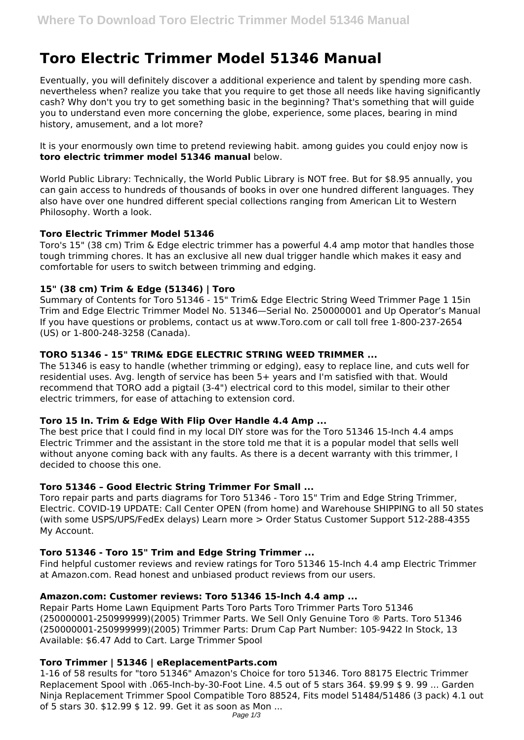# **Toro Electric Trimmer Model 51346 Manual**

Eventually, you will definitely discover a additional experience and talent by spending more cash. nevertheless when? realize you take that you require to get those all needs like having significantly cash? Why don't you try to get something basic in the beginning? That's something that will guide you to understand even more concerning the globe, experience, some places, bearing in mind history, amusement, and a lot more?

It is your enormously own time to pretend reviewing habit. among guides you could enjoy now is **toro electric trimmer model 51346 manual** below.

World Public Library: Technically, the World Public Library is NOT free. But for \$8.95 annually, you can gain access to hundreds of thousands of books in over one hundred different languages. They also have over one hundred different special collections ranging from American Lit to Western Philosophy. Worth a look.

## **Toro Electric Trimmer Model 51346**

Toro's 15" (38 cm) Trim & Edge electric trimmer has a powerful 4.4 amp motor that handles those tough trimming chores. It has an exclusive all new dual trigger handle which makes it easy and comfortable for users to switch between trimming and edging.

# **15" (38 cm) Trim & Edge (51346) | Toro**

Summary of Contents for Toro 51346 - 15" Trim& Edge Electric String Weed Trimmer Page 1 15in Trim and Edge Electric Trimmer Model No. 51346—Serial No. 250000001 and Up Operator's Manual If you have questions or problems, contact us at www.Toro.com or call toll free 1-800-237-2654 (US) or 1-800-248-3258 (Canada).

# **TORO 51346 - 15" TRIM& EDGE ELECTRIC STRING WEED TRIMMER ...**

The 51346 is easy to handle (whether trimming or edging), easy to replace line, and cuts well for residential uses. Avg. length of service has been 5+ years and I'm satisfied with that. Would recommend that TORO add a pigtail (3-4") electrical cord to this model, similar to their other electric trimmers, for ease of attaching to extension cord.

# **Toro 15 In. Trim & Edge With Flip Over Handle 4.4 Amp ...**

The best price that I could find in my local DIY store was for the Toro 51346 15-Inch 4.4 amps Electric Trimmer and the assistant in the store told me that it is a popular model that sells well without anyone coming back with any faults. As there is a decent warranty with this trimmer, I decided to choose this one.

# **Toro 51346 – Good Electric String Trimmer For Small ...**

Toro repair parts and parts diagrams for Toro 51346 - Toro 15" Trim and Edge String Trimmer, Electric. COVID-19 UPDATE: Call Center OPEN (from home) and Warehouse SHIPPING to all 50 states (with some USPS/UPS/FedEx delays) Learn more > Order Status Customer Support 512-288-4355 My Account.

# **Toro 51346 - Toro 15" Trim and Edge String Trimmer ...**

Find helpful customer reviews and review ratings for Toro 51346 15-Inch 4.4 amp Electric Trimmer at Amazon.com. Read honest and unbiased product reviews from our users.

#### **Amazon.com: Customer reviews: Toro 51346 15-Inch 4.4 amp ...**

Repair Parts Home Lawn Equipment Parts Toro Parts Toro Trimmer Parts Toro 51346 (250000001-250999999)(2005) Trimmer Parts. We Sell Only Genuine Toro ® Parts. Toro 51346 (250000001-250999999)(2005) Trimmer Parts: Drum Cap Part Number: 105-9422 In Stock, 13 Available: \$6.47 Add to Cart. Large Trimmer Spool

# **Toro Trimmer | 51346 | eReplacementParts.com**

1-16 of 58 results for "toro 51346" Amazon's Choice for toro 51346. Toro 88175 Electric Trimmer Replacement Spool with .065-Inch-by-30-Foot Line. 4.5 out of 5 stars 364. \$9.99 \$ 9. 99 ... Garden Ninja Replacement Trimmer Spool Compatible Toro 88524, Fits model 51484/51486 (3 pack) 4.1 out of 5 stars 30. \$12.99 \$ 12. 99. Get it as soon as Mon ...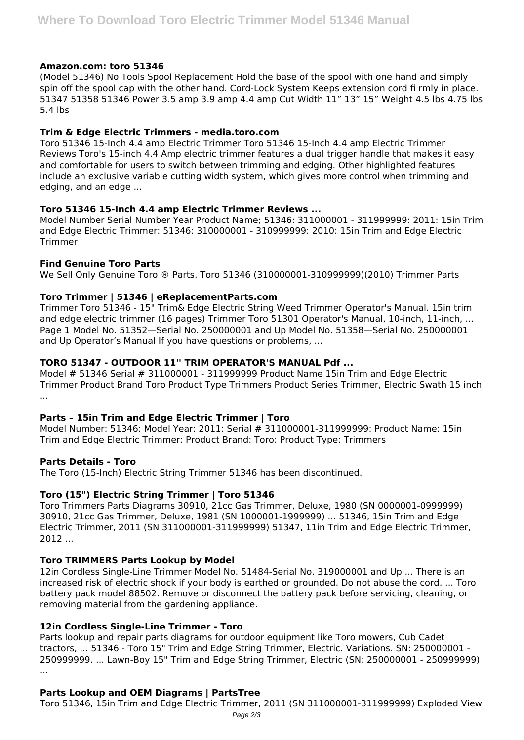## **Amazon.com: toro 51346**

(Model 51346) No Tools Spool Replacement Hold the base of the spool with one hand and simply spin off the spool cap with the other hand. Cord-Lock System Keeps extension cord fi rmly in place. 51347 51358 51346 Power 3.5 amp 3.9 amp 4.4 amp Cut Width 11" 13" 15" Weight 4.5 lbs 4.75 lbs 5.4 lbs

# **Trim & Edge Electric Trimmers - media.toro.com**

Toro 51346 15-Inch 4.4 amp Electric Trimmer Toro 51346 15-Inch 4.4 amp Electric Trimmer Reviews Toro's 15-inch 4.4 Amp electric trimmer features a dual trigger handle that makes it easy and comfortable for users to switch between trimming and edging. Other highlighted features include an exclusive variable cutting width system, which gives more control when trimming and edging, and an edge ...

## **Toro 51346 15-Inch 4.4 amp Electric Trimmer Reviews ...**

Model Number Serial Number Year Product Name; 51346: 311000001 - 311999999: 2011: 15in Trim and Edge Electric Trimmer: 51346: 310000001 - 310999999: 2010: 15in Trim and Edge Electric Trimmer

## **Find Genuine Toro Parts**

We Sell Only Genuine Toro ® Parts. Toro 51346 (310000001-310999999)(2010) Trimmer Parts

## **Toro Trimmer | 51346 | eReplacementParts.com**

Trimmer Toro 51346 - 15" Trim& Edge Electric String Weed Trimmer Operator's Manual. 15in trim and edge electric trimmer (16 pages) Trimmer Toro 51301 Operator's Manual. 10-inch, 11-inch, ... Page 1 Model No. 51352—Serial No. 250000001 and Up Model No. 51358—Serial No. 250000001 and Up Operator's Manual If you have questions or problems, ...

# **TORO 51347 - OUTDOOR 11'' TRIM OPERATOR'S MANUAL Pdf ...**

Model # 51346 Serial # 311000001 - 311999999 Product Name 15in Trim and Edge Electric Trimmer Product Brand Toro Product Type Trimmers Product Series Trimmer, Electric Swath 15 inch ...

#### **Parts – 15in Trim and Edge Electric Trimmer | Toro**

Model Number: 51346: Model Year: 2011: Serial # 311000001-311999999: Product Name: 15in Trim and Edge Electric Trimmer: Product Brand: Toro: Product Type: Trimmers

# **Parts Details - Toro**

The Toro (15-Inch) Electric String Trimmer 51346 has been discontinued.

# **Toro (15") Electric String Trimmer | Toro 51346**

Toro Trimmers Parts Diagrams 30910, 21cc Gas Trimmer, Deluxe, 1980 (SN 0000001-0999999) 30910, 21cc Gas Trimmer, Deluxe, 1981 (SN 1000001-1999999) ... 51346, 15in Trim and Edge Electric Trimmer, 2011 (SN 311000001-311999999) 51347, 11in Trim and Edge Electric Trimmer, 2012 ...

# **Toro TRIMMERS Parts Lookup by Model**

12in Cordless Single-Line Trimmer Model No. 51484-Serial No. 319000001 and Up ... There is an increased risk of electric shock if your body is earthed or grounded. Do not abuse the cord. ... Toro battery pack model 88502. Remove or disconnect the battery pack before servicing, cleaning, or removing material from the gardening appliance.

# **12in Cordless Single-Line Trimmer - Toro**

Parts lookup and repair parts diagrams for outdoor equipment like Toro mowers, Cub Cadet tractors, ... 51346 - Toro 15" Trim and Edge String Trimmer, Electric. Variations. SN: 250000001 - 250999999. ... Lawn-Boy 15" Trim and Edge String Trimmer, Electric (SN: 250000001 - 250999999) ...

# **Parts Lookup and OEM Diagrams | PartsTree**

Toro 51346, 15in Trim and Edge Electric Trimmer, 2011 (SN 311000001-311999999) Exploded View